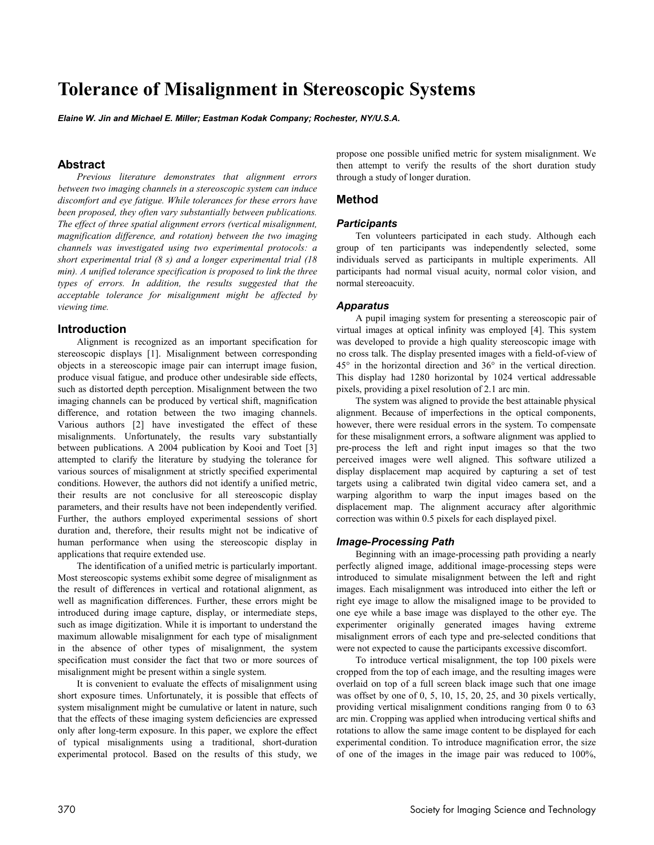# **Tolerance of Misalignment in Stereoscopic Systems**

*Elaine W. Jin and Michael E. Miller; Eastman Kodak Company; Rochester, NY/U.S.A.* 

# **Abstract**

*Previous literature demonstrates that alignment errors between two imaging channels in a stereoscopic system can induce discomfort and eye fatigue. While tolerances for these errors have been proposed, they often vary substantially between publications. The effect of three spatial alignment errors (vertical misalignment, magnification difference, and rotation) between the two imaging channels was investigated using two experimental protocols: a short experimental trial (8 s) and a longer experimental trial (18 min). A unified tolerance specification is proposed to link the three types of errors. In addition, the results suggested that the acceptable tolerance for misalignment might be affected by viewing time.* 

# **Introduction**

Alignment is recognized as an important specification for stereoscopic displays [1]. Misalignment between corresponding objects in a stereoscopic image pair can interrupt image fusion, produce visual fatigue, and produce other undesirable side effects, such as distorted depth perception. Misalignment between the two imaging channels can be produced by vertical shift, magnification difference, and rotation between the two imaging channels. Various authors [2] have investigated the effect of these misalignments. Unfortunately, the results vary substantially between publications. A 2004 publication by Kooi and Toet [3] attempted to clarify the literature by studying the tolerance for various sources of misalignment at strictly specified experimental conditions. However, the authors did not identify a unified metric, their results are not conclusive for all stereoscopic display parameters, and their results have not been independently verified. Further, the authors employed experimental sessions of short duration and, therefore, their results might not be indicative of human performance when using the stereoscopic display in applications that require extended use.

The identification of a unified metric is particularly important. Most stereoscopic systems exhibit some degree of misalignment as the result of differences in vertical and rotational alignment, as well as magnification differences. Further, these errors might be introduced during image capture, display, or intermediate steps, such as image digitization. While it is important to understand the maximum allowable misalignment for each type of misalignment in the absence of other types of misalignment, the system specification must consider the fact that two or more sources of misalignment might be present within a single system.

It is convenient to evaluate the effects of misalignment using short exposure times. Unfortunately, it is possible that effects of system misalignment might be cumulative or latent in nature, such that the effects of these imaging system deficiencies are expressed only after long-term exposure. In this paper, we explore the effect of typical misalignments using a traditional, short-duration experimental protocol. Based on the results of this study, we

propose one possible unified metric for system misalignment. We then attempt to verify the results of the short duration study through a study of longer duration.

## **Method**

#### *Participants*

Ten volunteers participated in each study. Although each group of ten participants was independently selected, some individuals served as participants in multiple experiments. All participants had normal visual acuity, normal color vision, and normal stereoacuity.

#### *Apparatus*

A pupil imaging system for presenting a stereoscopic pair of virtual images at optical infinity was employed [4]. This system was developed to provide a high quality stereoscopic image with no cross talk. The display presented images with a field-of-view of 45° in the horizontal direction and 36° in the vertical direction. This display had 1280 horizontal by 1024 vertical addressable pixels, providing a pixel resolution of 2.1 arc min.

The system was aligned to provide the best attainable physical alignment. Because of imperfections in the optical components, however, there were residual errors in the system. To compensate for these misalignment errors, a software alignment was applied to pre-process the left and right input images so that the two perceived images were well aligned. This software utilized a display displacement map acquired by capturing a set of test targets using a calibrated twin digital video camera set, and a warping algorithm to warp the input images based on the displacement map. The alignment accuracy after algorithmic correction was within 0.5 pixels for each displayed pixel.

#### *Image***-***Processing Path*

Beginning with an image-processing path providing a nearly perfectly aligned image, additional image-processing steps were introduced to simulate misalignment between the left and right images. Each misalignment was introduced into either the left or right eye image to allow the misaligned image to be provided to one eye while a base image was displayed to the other eye. The experimenter originally generated images having extreme misalignment errors of each type and pre-selected conditions that were not expected to cause the participants excessive discomfort.

To introduce vertical misalignment, the top 100 pixels were cropped from the top of each image, and the resulting images were overlaid on top of a full screen black image such that one image was offset by one of 0, 5, 10, 15, 20, 25, and 30 pixels vertically, providing vertical misalignment conditions ranging from 0 to 63 arc min. Cropping was applied when introducing vertical shifts and rotations to allow the same image content to be displayed for each experimental condition. To introduce magnification error, the size of one of the images in the image pair was reduced to 100%,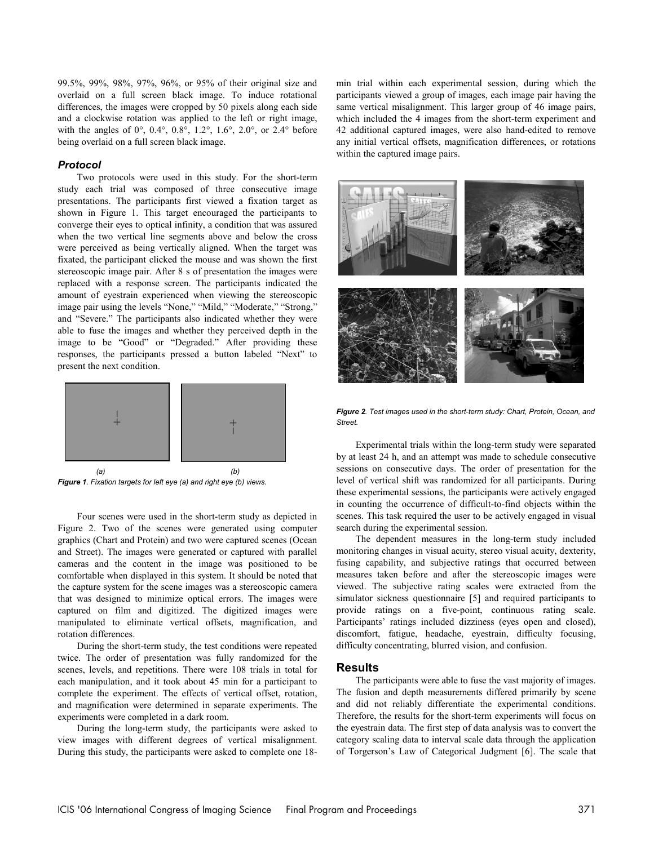99.5%, 99%, 98%, 97%, 96%, or 95% of their original size and overlaid on a full screen black image. To induce rotational differences, the images were cropped by 50 pixels along each side and a clockwise rotation was applied to the left or right image, with the angles of  $0^{\circ}$ ,  $0.4^{\circ}$ ,  $0.8^{\circ}$ ,  $1.2^{\circ}$ ,  $1.6^{\circ}$ ,  $2.0^{\circ}$ , or  $2.4^{\circ}$  before being overlaid on a full screen black image.

#### *Protocol*

Two protocols were used in this study. For the short-term study each trial was composed of three consecutive image presentations. The participants first viewed a fixation target as shown in Figure 1. This target encouraged the participants to converge their eyes to optical infinity, a condition that was assured when the two vertical line segments above and below the cross were perceived as being vertically aligned. When the target was fixated, the participant clicked the mouse and was shown the first stereoscopic image pair. After 8 s of presentation the images were replaced with a response screen. The participants indicated the amount of eyestrain experienced when viewing the stereoscopic image pair using the levels "None," "Mild," "Moderate," "Strong," and "Severe." The participants also indicated whether they were able to fuse the images and whether they perceived depth in the image to be "Good" or "Degraded." After providing these responses, the participants pressed a button labeled "Next" to present the next condition.



*Figure 1. Fixation targets for left eye (a) and right eye (b) views.*

Four scenes were used in the short-term study as depicted in Figure 2. Two of the scenes were generated using computer graphics (Chart and Protein) and two were captured scenes (Ocean and Street). The images were generated or captured with parallel cameras and the content in the image was positioned to be comfortable when displayed in this system. It should be noted that the capture system for the scene images was a stereoscopic camera that was designed to minimize optical errors. The images were captured on film and digitized. The digitized images were manipulated to eliminate vertical offsets, magnification, and rotation differences.

During the short-term study, the test conditions were repeated twice. The order of presentation was fully randomized for the scenes, levels, and repetitions. There were 108 trials in total for each manipulation, and it took about 45 min for a participant to complete the experiment. The effects of vertical offset, rotation, and magnification were determined in separate experiments. The experiments were completed in a dark room.

During the long-term study, the participants were asked to view images with different degrees of vertical misalignment. During this study, the participants were asked to complete one 18min trial within each experimental session, during which the participants viewed a group of images, each image pair having the same vertical misalignment. This larger group of 46 image pairs, which included the 4 images from the short-term experiment and 42 additional captured images, were also hand-edited to remove any initial vertical offsets, magnification differences, or rotations within the captured image pairs.



*Figure 2. Test images used in the short-term study: Chart, Protein, Ocean, and Street.*

Experimental trials within the long-term study were separated by at least 24 h, and an attempt was made to schedule consecutive sessions on consecutive days. The order of presentation for the level of vertical shift was randomized for all participants. During these experimental sessions, the participants were actively engaged in counting the occurrence of difficult-to-find objects within the scenes. This task required the user to be actively engaged in visual search during the experimental session.

The dependent measures in the long-term study included monitoring changes in visual acuity, stereo visual acuity, dexterity, fusing capability, and subjective ratings that occurred between measures taken before and after the stereoscopic images were viewed. The subjective rating scales were extracted from the simulator sickness questionnaire [5] and required participants to provide ratings on a five-point, continuous rating scale. Participants' ratings included dizziness (eyes open and closed), discomfort, fatigue, headache, eyestrain, difficulty focusing, difficulty concentrating, blurred vision, and confusion.

### **Results**

The participants were able to fuse the vast majority of images. The fusion and depth measurements differed primarily by scene and did not reliably differentiate the experimental conditions. Therefore, the results for the short-term experiments will focus on the eyestrain data. The first step of data analysis was to convert the category scaling data to interval scale data through the application of Torgerson's Law of Categorical Judgment [6]. The scale that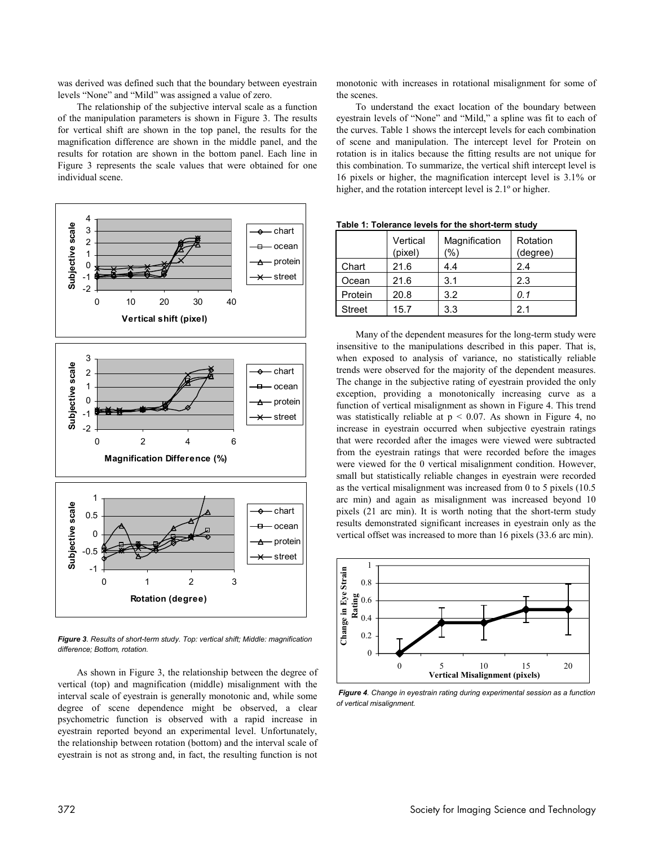was derived was defined such that the boundary between eyestrain levels "None" and "Mild" was assigned a value of zero.

The relationship of the subjective interval scale as a function of the manipulation parameters is shown in Figure 3. The results for vertical shift are shown in the top panel, the results for the magnification difference are shown in the middle panel, and the results for rotation are shown in the bottom panel. Each line in Figure 3 represents the scale values that were obtained for one individual scene.



*Figure 3. Results of short-term study. Top: vertical shift; Middle: magnification difference; Bottom, rotation.* 

As shown in Figure 3, the relationship between the degree of vertical (top) and magnification (middle) misalignment with the interval scale of eyestrain is generally monotonic and, while some degree of scene dependence might be observed, a clear psychometric function is observed with a rapid increase in eyestrain reported beyond an experimental level. Unfortunately, the relationship between rotation (bottom) and the interval scale of eyestrain is not as strong and, in fact, the resulting function is not

monotonic with increases in rotational misalignment for some of the scenes.

To understand the exact location of the boundary between eyestrain levels of "None" and "Mild," a spline was fit to each of the curves. Table 1 shows the intercept levels for each combination of scene and manipulation. The intercept level for Protein on rotation is in italics because the fitting results are not unique for this combination. To summarize, the vertical shift intercept level is 16 pixels or higher, the magnification intercept level is 3.1% or higher, and the rotation intercept level is  $2.1°$  or higher.

|               | Vertical<br>(pixel) | Magnification<br>'%) | Rotation<br>(degree) |  |
|---------------|---------------------|----------------------|----------------------|--|
| Chart         | 21.6                | 4.4                  | 2.4                  |  |
| Ocean         | 21.6                | 3.1                  | 2.3                  |  |
| Protein       | 20.8                | 3.2                  | 0.1                  |  |
| <b>Street</b> | 15.7                | 3.3                  | 21                   |  |

**Table 1: Tolerance levels for the short-term study** 

Many of the dependent measures for the long-term study were insensitive to the manipulations described in this paper. That is, when exposed to analysis of variance, no statistically reliable trends were observed for the majority of the dependent measures. The change in the subjective rating of eyestrain provided the only exception, providing a monotonically increasing curve as a function of vertical misalignment as shown in Figure 4. This trend was statistically reliable at  $p < 0.07$ . As shown in Figure 4, no increase in eyestrain occurred when subjective eyestrain ratings that were recorded after the images were viewed were subtracted from the eyestrain ratings that were recorded before the images were viewed for the 0 vertical misalignment condition. However, small but statistically reliable changes in eyestrain were recorded as the vertical misalignment was increased from 0 to 5 pixels (10.5 arc min) and again as misalignment was increased beyond 10 pixels (21 arc min). It is worth noting that the short-term study results demonstrated significant increases in eyestrain only as the vertical offset was increased to more than 16 pixels (33.6 arc min).



*Figure 4. Change in eyestrain rating during experimental session as a function of vertical misalignment.*